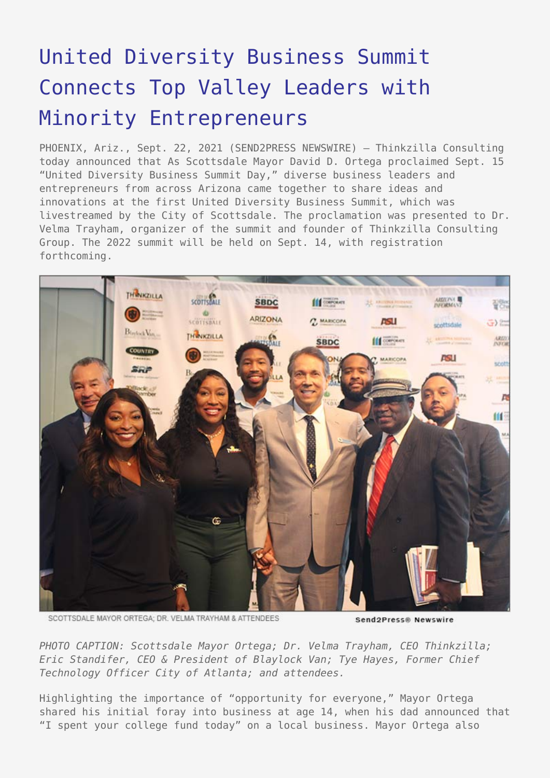## [United Diversity Business Summit](https://www.send2press.com/wire/united-diversity-business-summit-connects-top-valley-leaders-with-minority-entrepreneurs/) [Connects Top Valley Leaders with](https://www.send2press.com/wire/united-diversity-business-summit-connects-top-valley-leaders-with-minority-entrepreneurs/) [Minority Entrepreneurs](https://www.send2press.com/wire/united-diversity-business-summit-connects-top-valley-leaders-with-minority-entrepreneurs/)

PHOENIX, Ariz., Sept. 22, 2021 (SEND2PRESS NEWSWIRE) — Thinkzilla Consulting today announced that As Scottsdale Mayor David D. Ortega proclaimed Sept. 15 "United Diversity Business Summit Day," diverse business leaders and entrepreneurs from across Arizona came together to share ideas and innovations at the first United Diversity Business Summit, which was livestreamed by the City of Scottsdale. The proclamation was presented to Dr. Velma Trayham, organizer of the summit and founder of Thinkzilla Consulting Group. The 2022 summit will be held on Sept. 14, with registration forthcoming.



SCOTTSDALE MAYOR ORTEGA: DR. VELMA TRAYHAM & ATTENDEES

Send2Press® Newswire

*PHOTO CAPTION: Scottsdale Mayor Ortega; Dr. Velma Trayham, CEO Thinkzilla; Eric Standifer, CEO & President of Blaylock Van; Tye Hayes, Former Chief Technology Officer City of Atlanta; and attendees.*

Highlighting the importance of "opportunity for everyone," Mayor Ortega shared his initial foray into business at age 14, when his dad announced that "I spent your college fund today" on a local business. Mayor Ortega also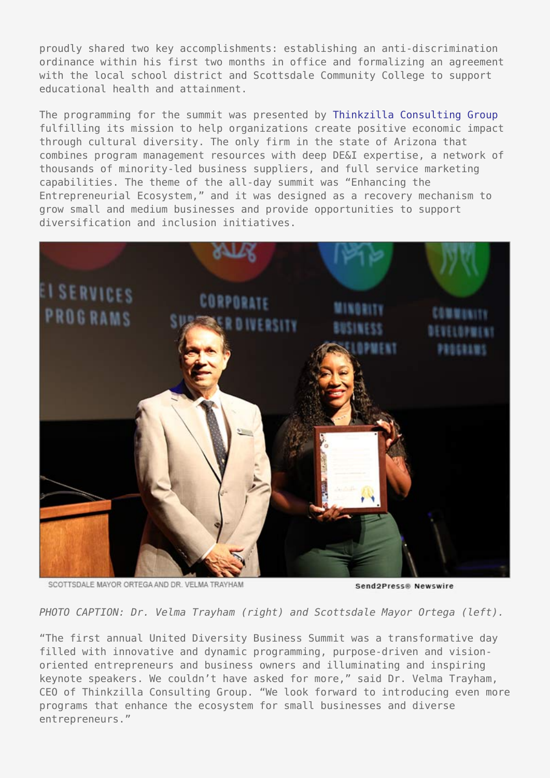proudly shared two key accomplishments: establishing an anti-discrimination ordinance within his first two months in office and formalizing an agreement with the local school district and Scottsdale Community College to support educational health and attainment.

The programming for the summit was presented by [Thinkzilla Consulting Group](http://www.thinkzillaconsulting.com/) fulfilling its mission to help organizations create positive economic impact through cultural diversity. The only firm in the state of Arizona that combines program management resources with deep DE&I expertise, a network of thousands of minority-led business suppliers, and full service marketing capabilities. The theme of the all-day summit was "Enhancing the Entrepreneurial Ecosystem," and it was designed as a recovery mechanism to grow small and medium businesses and provide opportunities to support diversification and inclusion initiatives.



SCOTTSDALE MAYOR ORTEGA AND DR. VELMA TRAYHAM

Send2Press® Newswire

*PHOTO CAPTION: Dr. Velma Trayham (right) and Scottsdale Mayor Ortega (left).*

"The first annual United Diversity Business Summit was a transformative day filled with innovative and dynamic programming, purpose-driven and visionoriented entrepreneurs and business owners and illuminating and inspiring keynote speakers. We couldn't have asked for more," said Dr. Velma Trayham, CEO of Thinkzilla Consulting Group. "We look forward to introducing even more programs that enhance the ecosystem for small businesses and diverse entrepreneurs."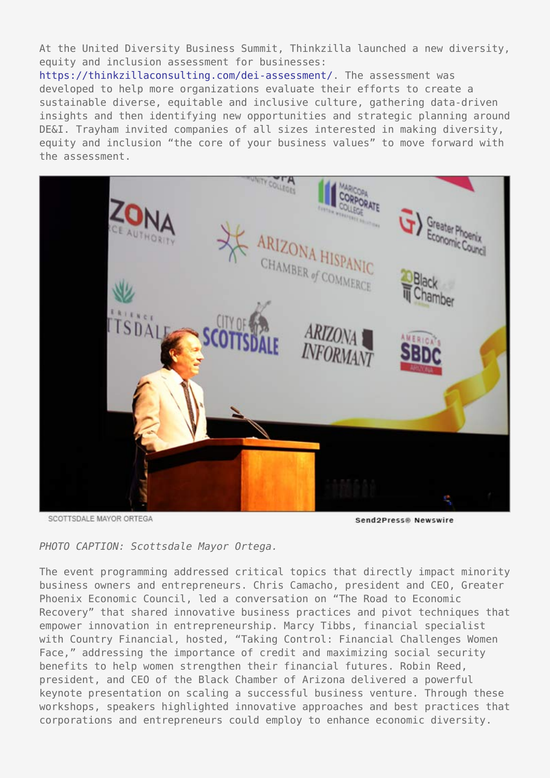At the United Diversity Business Summit, Thinkzilla launched a new diversity, equity and inclusion assessment for businesses:

<https://thinkzillaconsulting.com/dei-assessment/>. The assessment was developed to help more organizations evaluate their efforts to create a sustainable diverse, equitable and inclusive culture, gathering data-driven insights and then identifying new opportunities and strategic planning around DE&I. Trayham invited companies of all sizes interested in making diversity, equity and inclusion "the core of your business values" to move forward with the assessment.



SCOTTSDALE MAYOR ORTEGA

Send **Press®** Newswire

*PHOTO CAPTION: Scottsdale Mayor Ortega.*

The event programming addressed critical topics that directly impact minority business owners and entrepreneurs. Chris Camacho, president and CEO, Greater Phoenix Economic Council, led a conversation on "The Road to Economic Recovery" that shared innovative business practices and pivot techniques that empower innovation in entrepreneurship. Marcy Tibbs, financial specialist with Country Financial, hosted, "Taking Control: Financial Challenges Women Face," addressing the importance of credit and maximizing social security benefits to help women strengthen their financial futures. Robin Reed, president, and CEO of the Black Chamber of Arizona delivered a powerful keynote presentation on scaling a successful business venture. Through these workshops, speakers highlighted innovative approaches and best practices that corporations and entrepreneurs could employ to enhance economic diversity.